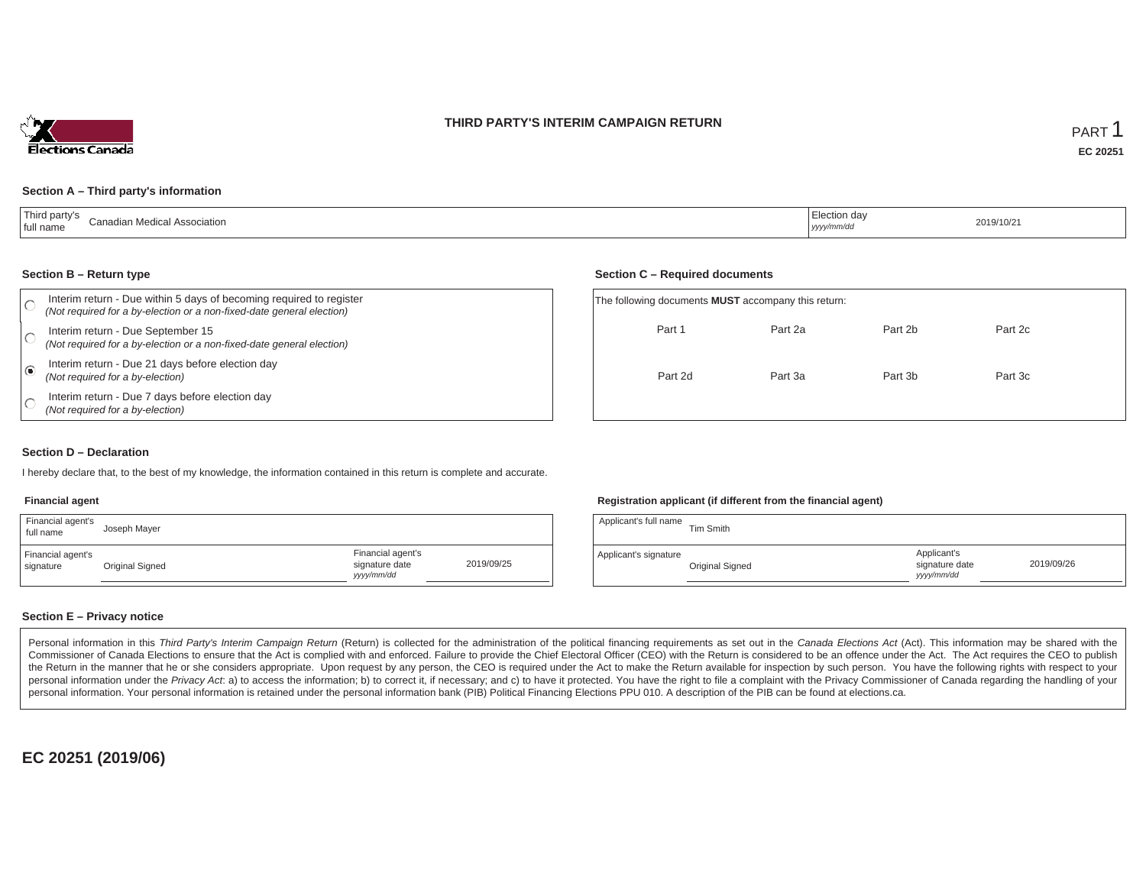## **THIRD PARTY'S INTERIM CAMPAIGN RETURN**



#### **Section A – Third party's information**

| Third party's<br>.<br>adian Medical Association<br>' full name | ection dav<br>2019/10/21<br>yyyy/mm/dc <sup>i</sup> |  |
|----------------------------------------------------------------|-----------------------------------------------------|--|
|----------------------------------------------------------------|-----------------------------------------------------|--|

#### **Section B – Return type**

|      | Interim return - Due within 5 days of becoming required to register<br>(Not required for a by-election or a non-fixed-date general election) | The following documents <b>MUST</b> accompany this return: |         |         |         |  |
|------|----------------------------------------------------------------------------------------------------------------------------------------------|------------------------------------------------------------|---------|---------|---------|--|
|      | Interim return - Due September 15<br>(Not required for a by-election or a non-fixed-date general election)                                   | Part 1                                                     | Part 2a | Part 2b | Part 2c |  |
| ه) ا | Interim return - Due 21 days before election day<br>(Not required for a by-election)                                                         | Part 2d                                                    | Part 3a | Part 3b | Part 3c |  |
|      | Interim return - Due 7 days before election day<br>(Not required for a by-election)                                                          |                                                            |         |         |         |  |

#### **Section D – Declaration**

I hereby declare that, to the best of my knowledge, the information contained in this return is complete and accurate.

#### **Financial agent**

| Financial agent's<br>full name | Joseph Mayer    |                                                  |            |
|--------------------------------|-----------------|--------------------------------------------------|------------|
| Financial agent's<br>signature | Original Signed | Financial agent's<br>signature date<br>vyy/mm/dd | 2019/09/25 |

#### **Registration applicant (if different from the financial agent)**

**Section C – Required documents**

| Applicant's full name | Tim Smith       |                                            |            |
|-----------------------|-----------------|--------------------------------------------|------------|
| Applicant's signature | Original Signed | Applicant's<br>signature date<br>yyy/mm/dd | 2019/09/26 |

### **Section E – Privacy notice**

Personal information in this Third Party's Interim Campaign Return (Return) is collected for the administration of the political financing requirements as set out in the Canada Elections Act (Act). This information may be Commissioner of Canada Elections to ensure that the Act is complied with and enforced. Failure to provide the Chief Electoral Officer (CEO) with the Return is considered to be an offence under the Act. The Act requires the the Return in the manner that he or she considers appropriate. Upon request by any person, the CEO is required under the Act to make the Return available for inspection by such person. You have the following rights with re personal information under the Privacy Act. a) to access the information; b) to correct it, if necessary; and c) to have it protected. You have the right to file a complaint with the Privacy Commissioner of Canada regardin personal information. Your personal information is retained under the personal information bank (PIB) Political Financing Elections PPU 010. A description of the PIB can be found at elections.ca.

**EC 20251 (2019/06)**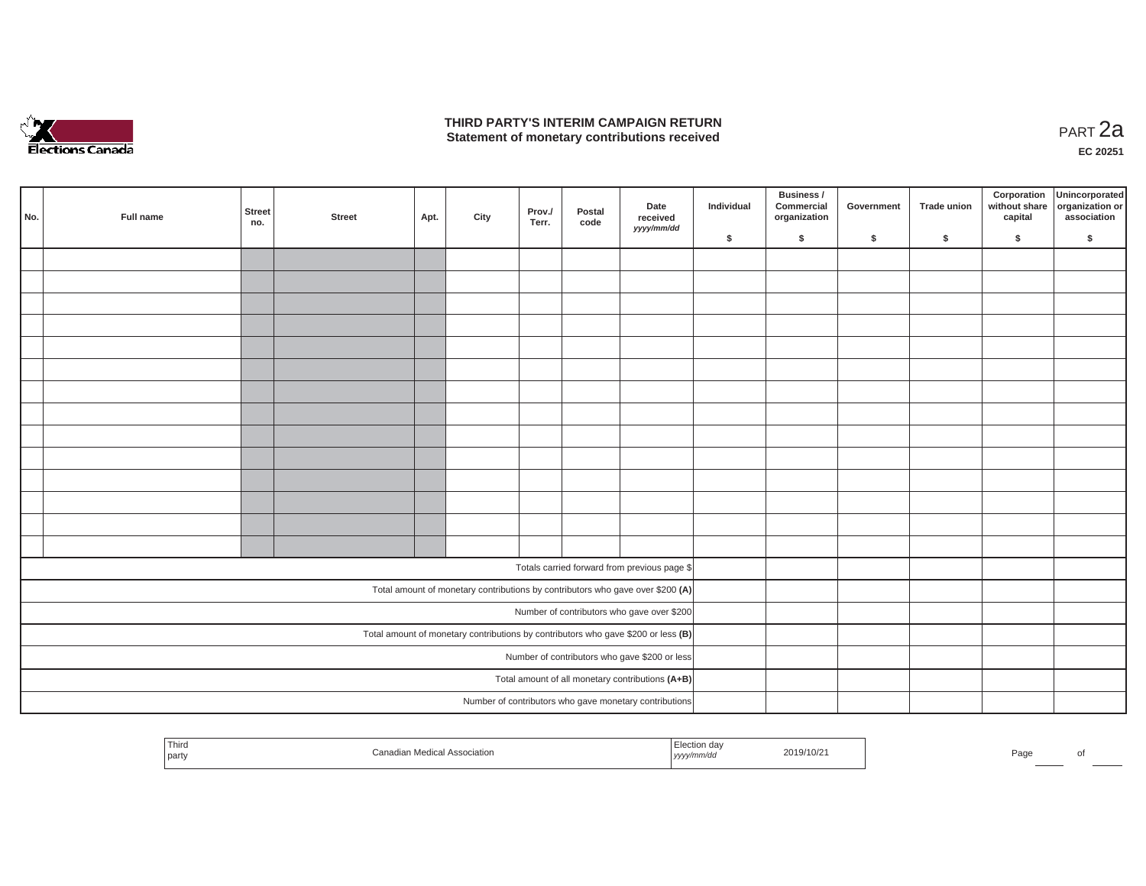

## **THIRD PARTY'S INTERIM CAMPAIGN RETURN THIRD PARTY'S INTERIM CAMPAIGN RETURN<br>Statement of monetary contributions received PART 2a**

| No. | Full name | Street<br>no. | <b>Street</b> | Apt. | City | Prov./<br>Terr. | Postal<br>code | Date<br>received<br>yyyy/mm/dd                                                      | Individual | Business /<br>Commercial<br>organization | Government | <b>Trade union</b> | Corporation<br>capital | Unincorporated<br>without share organization or<br>association |
|-----|-----------|---------------|---------------|------|------|-----------------|----------------|-------------------------------------------------------------------------------------|------------|------------------------------------------|------------|--------------------|------------------------|----------------------------------------------------------------|
|     |           |               |               |      |      |                 |                |                                                                                     | \$         | \$                                       | \$         | $\sqrt{2}$         | \$                     | \$                                                             |
|     |           |               |               |      |      |                 |                |                                                                                     |            |                                          |            |                    |                        |                                                                |
|     |           |               |               |      |      |                 |                |                                                                                     |            |                                          |            |                    |                        |                                                                |
|     |           |               |               |      |      |                 |                |                                                                                     |            |                                          |            |                    |                        |                                                                |
|     |           |               |               |      |      |                 |                |                                                                                     |            |                                          |            |                    |                        |                                                                |
|     |           |               |               |      |      |                 |                |                                                                                     |            |                                          |            |                    |                        |                                                                |
|     |           |               |               |      |      |                 |                |                                                                                     |            |                                          |            |                    |                        |                                                                |
|     |           |               |               |      |      |                 |                |                                                                                     |            |                                          |            |                    |                        |                                                                |
|     |           |               |               |      |      |                 |                |                                                                                     |            |                                          |            |                    |                        |                                                                |
|     |           |               |               |      |      |                 |                |                                                                                     |            |                                          |            |                    |                        |                                                                |
|     |           |               |               |      |      |                 |                |                                                                                     |            |                                          |            |                    |                        |                                                                |
|     |           |               |               |      |      |                 |                |                                                                                     |            |                                          |            |                    |                        |                                                                |
|     |           |               |               |      |      |                 |                |                                                                                     |            |                                          |            |                    |                        |                                                                |
|     |           |               |               |      |      |                 |                |                                                                                     |            |                                          |            |                    |                        |                                                                |
|     |           |               |               |      |      |                 |                |                                                                                     |            |                                          |            |                    |                        |                                                                |
|     |           |               |               |      |      |                 |                | Totals carried forward from previous page \$                                        |            |                                          |            |                    |                        |                                                                |
|     |           |               |               |      |      |                 |                | Total amount of monetary contributions by contributors who gave over \$200 (A)      |            |                                          |            |                    |                        |                                                                |
|     |           |               |               |      |      |                 |                |                                                                                     |            |                                          |            |                    |                        |                                                                |
|     |           |               |               |      |      |                 |                | Number of contributors who gave over \$200                                          |            |                                          |            |                    |                        |                                                                |
|     |           |               |               |      |      |                 |                | Total amount of monetary contributions by contributors who gave \$200 or less $(B)$ |            |                                          |            |                    |                        |                                                                |
|     |           |               |               |      |      |                 |                | Number of contributors who gave \$200 or less                                       |            |                                          |            |                    |                        |                                                                |
|     |           |               |               |      |      |                 |                | Total amount of all monetary contributions (A+B)                                    |            |                                          |            |                    |                        |                                                                |
|     |           |               |               |      |      |                 |                | Number of contributors who gave monetary contributions                              |            |                                          |            |                    |                        |                                                                |

| Third<br>:iatioi<br>  partγ | .<br>2019/10/2<br>,,,,,,,<br>,,,,, | Page |
|-----------------------------|------------------------------------|------|
|-----------------------------|------------------------------------|------|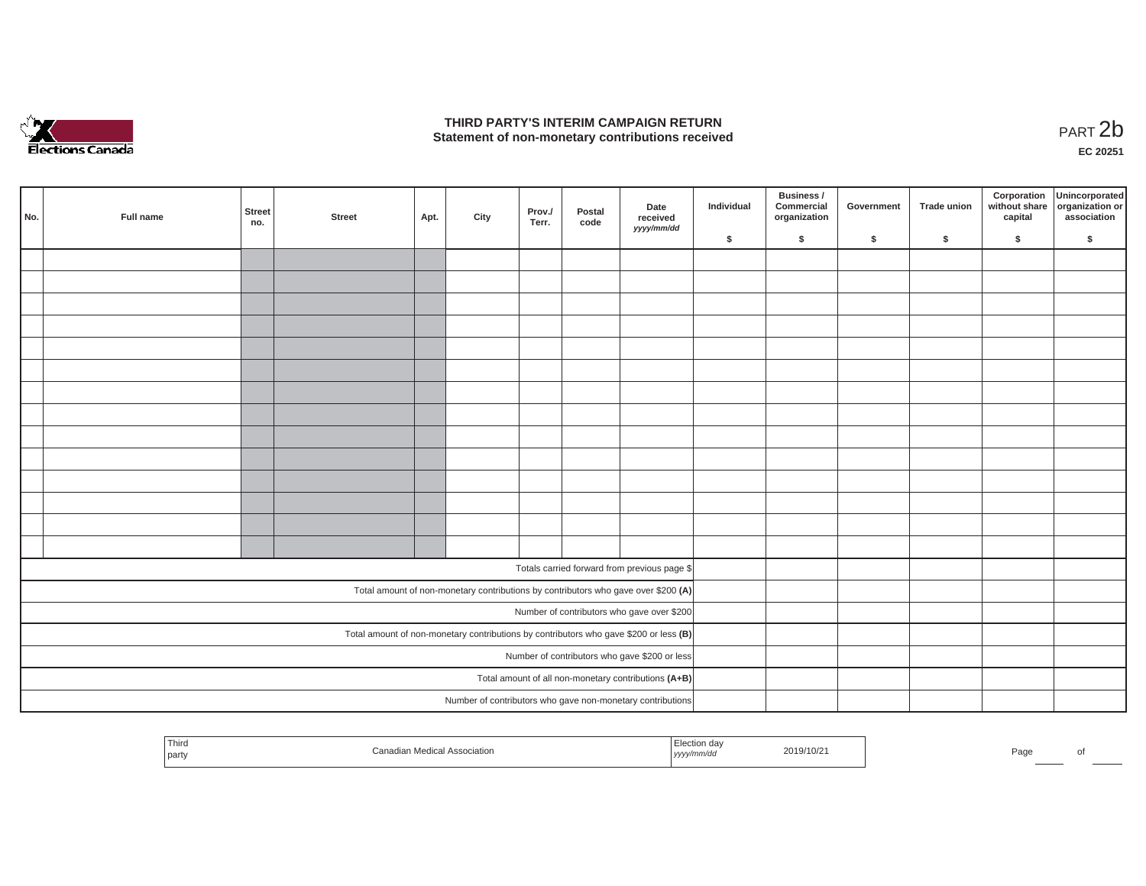

## **THIRD PARTY'S INTERIM CAMPAIGN RETURN**  THIRD PARTY'S INTERIM CAMPAIGN RETURN<br>Statement of non-monetary contributions received<br>**PART 2**b

**EC 20251**

| No. | Full name | Street<br>no. | <b>Street</b> | Apt. | City | Prov./<br>Terr. | Postal<br>code | Date<br>received<br>yyyy/mm/dd                                                        | Individual | Business /<br>Commercial<br>organization | Government | Trade union | Corporation<br>capital | Unincorporated<br>without share organization or<br>association |
|-----|-----------|---------------|---------------|------|------|-----------------|----------------|---------------------------------------------------------------------------------------|------------|------------------------------------------|------------|-------------|------------------------|----------------------------------------------------------------|
|     |           |               |               |      |      |                 |                |                                                                                       | \$         | $\mathsf{s}$                             | \$         | $\sqrt{2}$  | \$                     | \$                                                             |
|     |           |               |               |      |      |                 |                |                                                                                       |            |                                          |            |             |                        |                                                                |
|     |           |               |               |      |      |                 |                |                                                                                       |            |                                          |            |             |                        |                                                                |
|     |           |               |               |      |      |                 |                |                                                                                       |            |                                          |            |             |                        |                                                                |
|     |           |               |               |      |      |                 |                |                                                                                       |            |                                          |            |             |                        |                                                                |
|     |           |               |               |      |      |                 |                |                                                                                       |            |                                          |            |             |                        |                                                                |
|     |           |               |               |      |      |                 |                |                                                                                       |            |                                          |            |             |                        |                                                                |
|     |           |               |               |      |      |                 |                |                                                                                       |            |                                          |            |             |                        |                                                                |
|     |           |               |               |      |      |                 |                |                                                                                       |            |                                          |            |             |                        |                                                                |
|     |           |               |               |      |      |                 |                |                                                                                       |            |                                          |            |             |                        |                                                                |
|     |           |               |               |      |      |                 |                |                                                                                       |            |                                          |            |             |                        |                                                                |
|     |           |               |               |      |      |                 |                |                                                                                       |            |                                          |            |             |                        |                                                                |
|     |           |               |               |      |      |                 |                |                                                                                       |            |                                          |            |             |                        |                                                                |
|     |           |               |               |      |      |                 |                |                                                                                       |            |                                          |            |             |                        |                                                                |
|     |           |               |               |      |      |                 |                |                                                                                       |            |                                          |            |             |                        |                                                                |
|     |           |               |               |      |      |                 |                |                                                                                       |            |                                          |            |             |                        |                                                                |
|     |           |               |               |      |      |                 |                | Totals carried forward from previous page \$                                          |            |                                          |            |             |                        |                                                                |
|     |           |               |               |      |      |                 |                | Total amount of non-monetary contributions by contributors who gave over \$200 (A)    |            |                                          |            |             |                        |                                                                |
|     |           |               |               |      |      |                 |                | Number of contributors who gave over \$200                                            |            |                                          |            |             |                        |                                                                |
|     |           |               |               |      |      |                 |                | Total amount of non-monetary contributions by contributors who gave \$200 or less (B) |            |                                          |            |             |                        |                                                                |
|     |           |               |               |      |      |                 |                | Number of contributors who gave \$200 or less                                         |            |                                          |            |             |                        |                                                                |
|     |           |               |               |      |      |                 |                | Total amount of all non-monetary contributions (A+B)                                  |            |                                          |            |             |                        |                                                                |
|     |           |               |               |      |      |                 |                | Number of contributors who gave non-monetary contributions                            |            |                                          |            |             |                        |                                                                |
|     |           |               |               |      |      |                 |                |                                                                                       |            |                                          |            |             |                        |                                                                |

| <sup>l</sup> Third<br>l party | ssociation. | tion da<br>™mm/uu<br>$1$ $J$ $J$ $J$ $J'$ | 2019/10/21 | Pagr |  |
|-------------------------------|-------------|-------------------------------------------|------------|------|--|
|                               |             |                                           |            |      |  |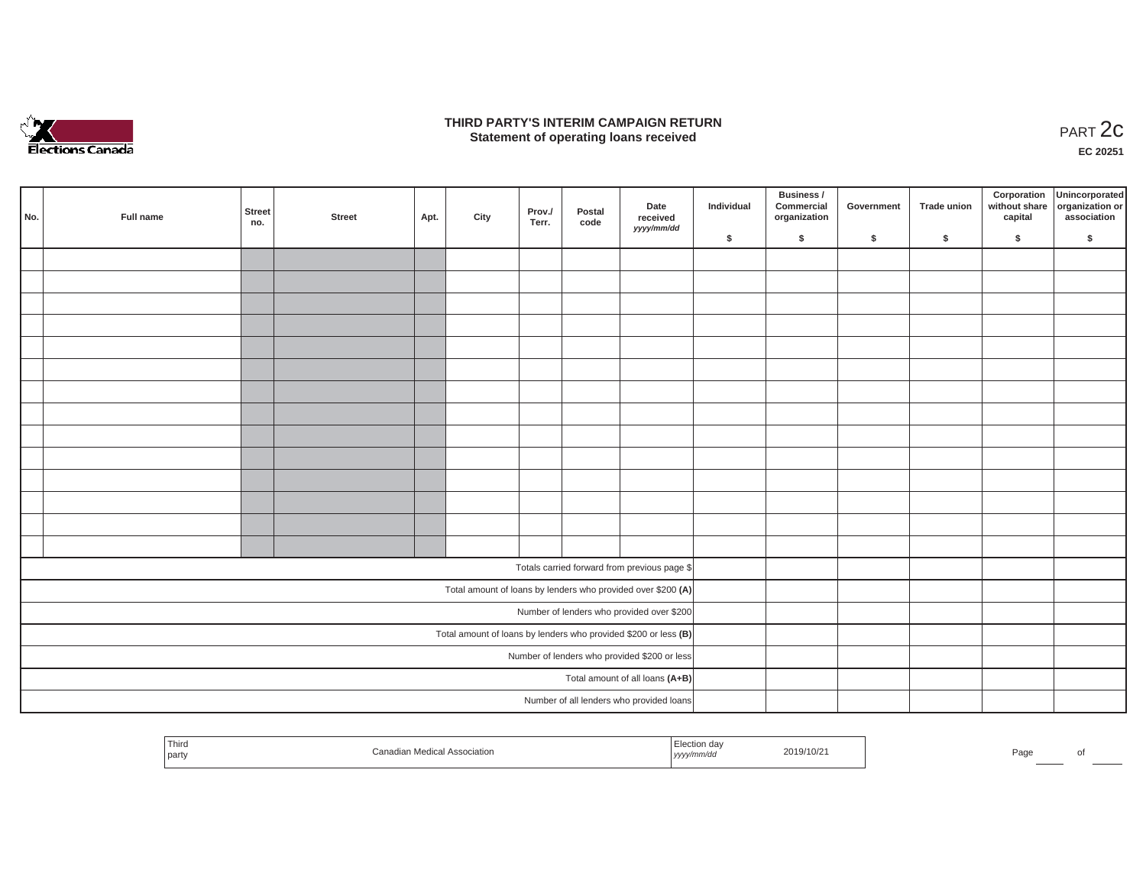

## **THIRD PARTY'S INTERIM CAMPAIGN RETURN**  RD PARTY'S INTERIM CAMPAIGN RETURN<br>Statement of operating loans received **PART 2c**

**EC 20251**

|     |           |               |        |      |      |                 |                |                                                                 |            | Business /                 |            |             |         | Corporation Unincorporated<br>without share organization or |
|-----|-----------|---------------|--------|------|------|-----------------|----------------|-----------------------------------------------------------------|------------|----------------------------|------------|-------------|---------|-------------------------------------------------------------|
| No. | Full name | Street<br>no. | Street | Apt. | City | Prov./<br>Terr. | Postal<br>code | Date<br>received                                                | Individual | Commercial<br>organization | Government | Trade union | capital | association                                                 |
|     |           |               |        |      |      |                 |                | yyyy/mm/dd                                                      | \$         | $\sqrt{2}$                 | \$         | $\sqrt{2}$  | \$      | \$                                                          |
|     |           |               |        |      |      |                 |                |                                                                 |            |                            |            |             |         |                                                             |
|     |           |               |        |      |      |                 |                |                                                                 |            |                            |            |             |         |                                                             |
|     |           |               |        |      |      |                 |                |                                                                 |            |                            |            |             |         |                                                             |
|     |           |               |        |      |      |                 |                |                                                                 |            |                            |            |             |         |                                                             |
|     |           |               |        |      |      |                 |                |                                                                 |            |                            |            |             |         |                                                             |
|     |           |               |        |      |      |                 |                |                                                                 |            |                            |            |             |         |                                                             |
|     |           |               |        |      |      |                 |                |                                                                 |            |                            |            |             |         |                                                             |
|     |           |               |        |      |      |                 |                |                                                                 |            |                            |            |             |         |                                                             |
|     |           |               |        |      |      |                 |                |                                                                 |            |                            |            |             |         |                                                             |
|     |           |               |        |      |      |                 |                |                                                                 |            |                            |            |             |         |                                                             |
|     |           |               |        |      |      |                 |                |                                                                 |            |                            |            |             |         |                                                             |
|     |           |               |        |      |      |                 |                |                                                                 |            |                            |            |             |         |                                                             |
|     |           |               |        |      |      |                 |                |                                                                 |            |                            |            |             |         |                                                             |
|     |           |               |        |      |      |                 |                |                                                                 |            |                            |            |             |         |                                                             |
|     |           |               |        |      |      |                 |                | Totals carried forward from previous page \$                    |            |                            |            |             |         |                                                             |
|     |           |               |        |      |      |                 |                | Total amount of loans by lenders who provided over \$200 (A)    |            |                            |            |             |         |                                                             |
|     |           |               |        |      |      |                 |                | Number of lenders who provided over \$200                       |            |                            |            |             |         |                                                             |
|     |           |               |        |      |      |                 |                | Total amount of loans by lenders who provided \$200 or less (B) |            |                            |            |             |         |                                                             |
|     |           |               |        |      |      |                 |                | Number of lenders who provided \$200 or less                    |            |                            |            |             |         |                                                             |
|     |           |               |        |      |      |                 |                | Total amount of all loans (A+B)                                 |            |                            |            |             |         |                                                             |
|     |           |               |        |      |      |                 |                | Number of all lenders who provided loans                        |            |                            |            |             |         |                                                             |

| ' Third<br>party | Association<br>היותה<br>санашан | าท αล√<br>2019/10/2<br>™m/au<br>, <i>yyyynn</i> | $D \cap \alpha$<br>⊺au | ΩТ |
|------------------|---------------------------------|-------------------------------------------------|------------------------|----|
|                  |                                 |                                                 |                        |    |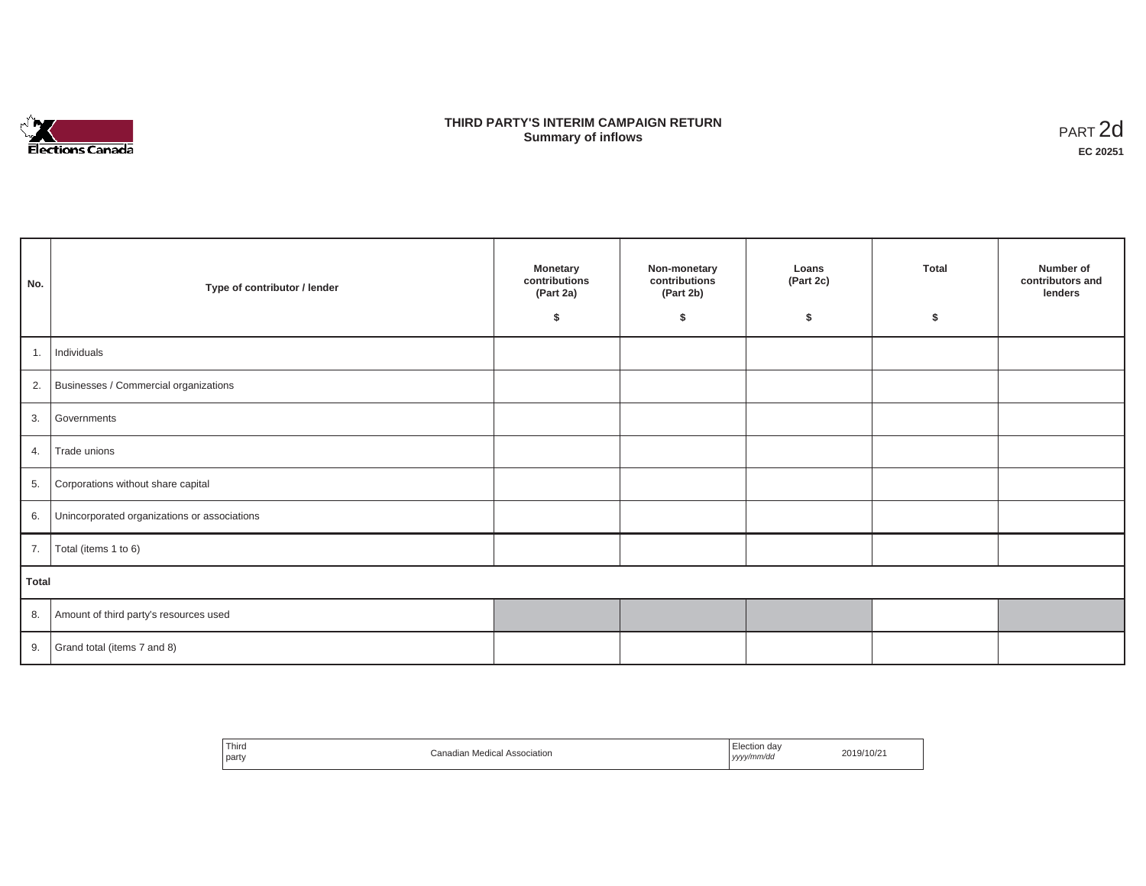

# **THIRD PARTY'S INTERIM CAMPAIGN RETURN SUMMARY STATE SUMMARY OF A SUMMARY OF A SUMMARY OF A SUMMARY OF A SUMMARY OF A SUMMARY OF A SUMMARY OF A SUMMA**<br> **Summary of inflows**

| No.   | Type of contributor / lender                    | <b>Monetary</b><br>contributions<br>(Part 2a)<br>Ŝ. | Non-monetary<br>contributions<br>(Part 2b)<br>\$ | Loans<br>(Part 2c)<br>\$ | <b>Total</b><br>\$ | Number of<br>contributors and<br>lenders |
|-------|-------------------------------------------------|-----------------------------------------------------|--------------------------------------------------|--------------------------|--------------------|------------------------------------------|
|       | 1. Individuals                                  |                                                     |                                                  |                          |                    |                                          |
|       | 2. Businesses / Commercial organizations        |                                                     |                                                  |                          |                    |                                          |
| 3.    | Governments                                     |                                                     |                                                  |                          |                    |                                          |
|       | 4. Trade unions                                 |                                                     |                                                  |                          |                    |                                          |
| 5.    | Corporations without share capital              |                                                     |                                                  |                          |                    |                                          |
|       | 6. Unincorporated organizations or associations |                                                     |                                                  |                          |                    |                                          |
|       | 7.   Total (items 1 to 6)                       |                                                     |                                                  |                          |                    |                                          |
| Total |                                                 |                                                     |                                                  |                          |                    |                                          |
|       | 8. Amount of third party's resources used       |                                                     |                                                  |                          |                    |                                          |
|       | 9. Grand total (items $7$ and $8$ )             |                                                     |                                                  |                          |                    |                                          |

| ' Thira<br>party | Canadian Medical Association | Election dav<br>19/10/2<br>yyyy/mm/da<br>,,,, |  |
|------------------|------------------------------|-----------------------------------------------|--|
|------------------|------------------------------|-----------------------------------------------|--|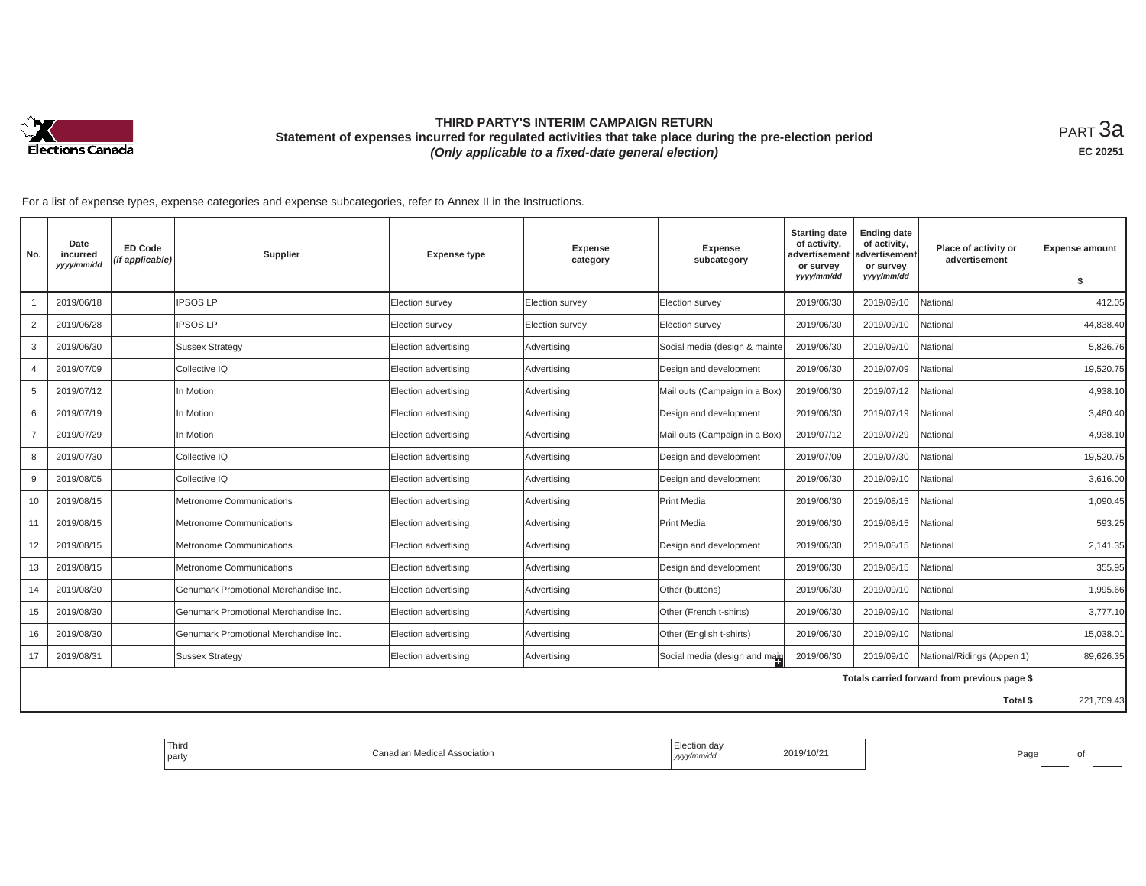

# **THIRD PARTY'S INTERIM CAMPAIGN RETURN Statement of expenses incurred for regulated activities that take place during the pre-election period**  *(Only applicable to a fixed-date general election)*

<code>PART $3$ a</code> **EC 20251**

For a list of expense types, expense categories and expense subcategories, refer to Annex II in the Instructions.

| No.            | Date<br>incurred<br>yyyy/mm/dd | <b>ED Code</b><br>(if applicable) | Supplier                              | <b>Expense type</b>    | <b>Expense</b><br>category | <b>Expense</b><br>subcategory | <b>Starting date</b><br>of activity,<br>advertisement<br>or survey<br>yyyy/mm/dd | <b>Ending date</b><br>of activity,<br>advertisement<br>or survey<br>yyyy/mm/dd | Place of activity or<br>advertisement        | <b>Expense amount</b> |
|----------------|--------------------------------|-----------------------------------|---------------------------------------|------------------------|----------------------------|-------------------------------|----------------------------------------------------------------------------------|--------------------------------------------------------------------------------|----------------------------------------------|-----------------------|
|                |                                |                                   |                                       |                        |                            |                               |                                                                                  |                                                                                |                                              | \$                    |
|                | 2019/06/18                     |                                   | <b>IPSOS LP</b>                       | <b>Election survey</b> | Election survey            | Election survey               | 2019/06/30                                                                       | 2019/09/10                                                                     | National                                     | 412.05                |
| $\overline{2}$ | 2019/06/28                     |                                   | <b>IPSOS LP</b>                       | Election survey        | Election survey            | Election survey               | 2019/06/30                                                                       | 2019/09/10                                                                     | National                                     | 44,838.40             |
| 3              | 2019/06/30                     |                                   | <b>Sussex Strategy</b>                | Election advertising   | Advertising                | Social media (design & mainte | 2019/06/30                                                                       | 2019/09/10                                                                     | National                                     | 5,826.76              |
| $\overline{4}$ | 2019/07/09                     |                                   | Collective IQ                         | Election advertising   | Advertising                | Design and development        | 2019/06/30                                                                       | 2019/07/09                                                                     | National                                     | 19,520.75             |
| 5              | 2019/07/12                     |                                   | In Motion                             | Election advertising   | Advertising                | Mail outs (Campaign in a Box) | 2019/06/30                                                                       | 2019/07/12                                                                     | National                                     | 4,938.10              |
| 6              | 2019/07/19                     |                                   | In Motion                             | Election advertising   | Advertising                | Design and development        | 2019/06/30                                                                       | 2019/07/19                                                                     | National                                     | 3,480.40              |
|                | 2019/07/29                     |                                   | In Motion                             | Election advertising   | Advertising                | Mail outs (Campaign in a Box) | 2019/07/12                                                                       | 2019/07/29                                                                     | National                                     | 4,938.10              |
| 8              | 2019/07/30                     |                                   | Collective IQ                         | Election advertising   | Advertising                | Design and development        | 2019/07/09                                                                       | 2019/07/30                                                                     | National                                     | 19,520.75             |
| 9              | 2019/08/05                     |                                   | Collective IQ                         | Election advertising   | Advertising                | Design and development        | 2019/06/30                                                                       | 2019/09/10                                                                     | National                                     | 3,616.00              |
| 10             | 2019/08/15                     |                                   | Metronome Communications              | Election advertising   | Advertising                | Print Media                   | 2019/06/30                                                                       | 2019/08/15                                                                     | National                                     | 1,090.45              |
| 11             | 2019/08/15                     |                                   | Metronome Communications              | Election advertising   | Advertising                | Print Media                   | 2019/06/30                                                                       | 2019/08/15                                                                     | National                                     | 593.25                |
| 12             | 2019/08/15                     |                                   | Metronome Communications              | Election advertising   | Advertising                | Design and development        | 2019/06/30                                                                       | 2019/08/15                                                                     | National                                     | 2,141.35              |
| 13             | 2019/08/15                     |                                   | Metronome Communications              | Election advertising   | Advertising                | Design and development        | 2019/06/30                                                                       | 2019/08/15                                                                     | National                                     | 355.95                |
| 14             | 2019/08/30                     |                                   | Genumark Promotional Merchandise Inc. | Election advertising   | Advertising                | Other (buttons)               | 2019/06/30                                                                       | 2019/09/10                                                                     | National                                     | 1,995.66              |
| 15             | 2019/08/30                     |                                   | Genumark Promotional Merchandise Inc. | Election advertising   | Advertising                | Other (French t-shirts)       | 2019/06/30                                                                       | 2019/09/10                                                                     | National                                     | 3,777.10              |
| 16             | 2019/08/30                     |                                   | Genumark Promotional Merchandise Inc. | Election advertising   | Advertising                | Other (English t-shirts)      | 2019/06/30                                                                       | 2019/09/10                                                                     | National                                     | 15,038.01             |
| 17             | 2019/08/31                     |                                   | <b>Sussex Strategy</b>                | Election advertising   | Advertising                | Social media (design and main | 2019/06/30                                                                       | 2019/09/10                                                                     | National/Ridings (Appen 1)                   | 89,626.35             |
|                |                                |                                   |                                       |                        |                            |                               |                                                                                  |                                                                                | Totals carried forward from previous page \$ |                       |
| Total \$       |                                |                                   |                                       |                        |                            |                               |                                                                                  | 221,709.43                                                                     |                                              |                       |

| Third<br>party | ı Medical Association<br>ำ≏nadian <sub>™</sub> | Election day<br>yyyy/mm/da<br>the contract of the contract of the con- | 2019/10/21 | Page | of |
|----------------|------------------------------------------------|------------------------------------------------------------------------|------------|------|----|
|                |                                                |                                                                        |            |      |    |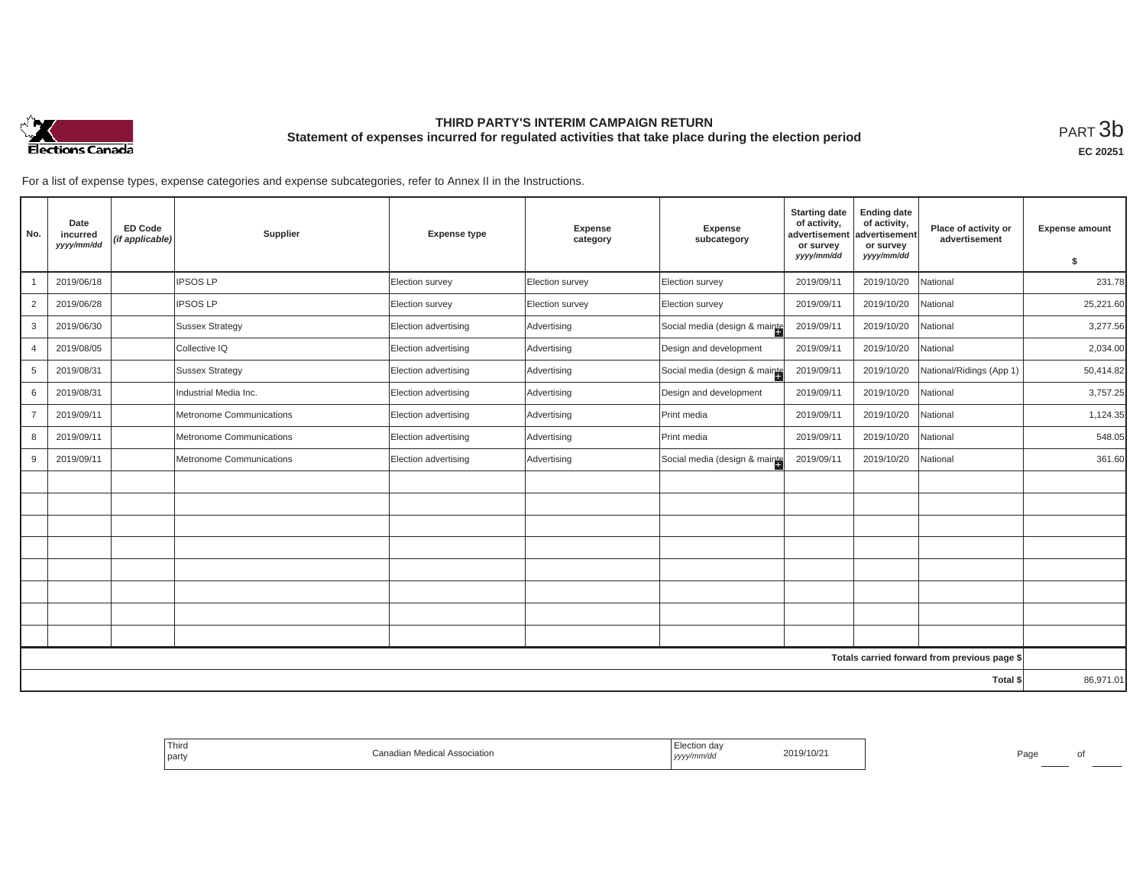

## **THIRD PARTY'S INTERIM CAMPAIGN RETURN Statement of expenses incurred for regulated activities that take place during the election period**<br>РАRТ  $3\mathrm{b}$

**EC 20251**

For a list of expense types, expense categories and expense subcategories, refer to Annex II in the Instructions.

| No.                                          | Date<br>incurred<br>yyyy/mm/dd | <b>ED Code</b><br>(if applicable) | Supplier                 | <b>Expense type</b>  | Expense<br>category | Expense<br>subcategory        | <b>Starting date</b><br>of activity,<br>advertisement<br>or survey<br>yyyy/mm/dd | <b>Ending date</b><br>of activity,<br>advertisement<br>or survey<br>yyyy/mm/dd | Place of activity or<br>advertisement | <b>Expense amount</b><br>s. |
|----------------------------------------------|--------------------------------|-----------------------------------|--------------------------|----------------------|---------------------|-------------------------------|----------------------------------------------------------------------------------|--------------------------------------------------------------------------------|---------------------------------------|-----------------------------|
|                                              | 2019/06/18                     |                                   | <b>IPSOS LP</b>          | Election survey      | Election survey     | Election survey               | 2019/09/11                                                                       | 2019/10/20                                                                     | National                              | 231.78                      |
| 2                                            | 2019/06/28                     |                                   | <b>IPSOS LP</b>          | Election survey      | Election survey     | Election survey               | 2019/09/11                                                                       | 2019/10/20                                                                     | National                              | 25,221.60                   |
| 3                                            | 2019/06/30                     |                                   | <b>Sussex Strategy</b>   | Election advertising | Advertising         | Social media (design & mainte | 2019/09/11                                                                       | 2019/10/20                                                                     | National                              | 3,277.56                    |
| $\overline{4}$                               | 2019/08/05                     |                                   | Collective IQ            | Election advertising | Advertising         | Design and development        | 2019/09/11                                                                       | 2019/10/20                                                                     | National                              | 2,034.00                    |
| 5                                            | 2019/08/31                     |                                   | <b>Sussex Strategy</b>   | Election advertising | Advertising         | Social media (design & mainte | 2019/09/11                                                                       | 2019/10/20                                                                     | National/Ridings (App 1)              | 50,414.82                   |
| 6                                            | 2019/08/31                     |                                   | Industrial Media Inc.    | Election advertising | Advertising         | Design and development        | 2019/09/11                                                                       | 2019/10/20                                                                     | National                              | 3,757.25                    |
| $\overline{7}$                               | 2019/09/11                     |                                   | Metronome Communications | Election advertising | Advertising         | Print media                   | 2019/09/11                                                                       | 2019/10/20                                                                     | National                              | 1,124.35                    |
| 8                                            | 2019/09/11                     |                                   | Metronome Communications | Election advertising | Advertising         | Print media                   | 2019/09/11                                                                       | 2019/10/20                                                                     | National                              | 548.05                      |
| 9                                            | 2019/09/11                     |                                   | Metronome Communications | Election advertising | Advertising         | Social media (design & mainte | 2019/09/11                                                                       | 2019/10/20                                                                     | National                              | 361.60                      |
|                                              |                                |                                   |                          |                      |                     |                               |                                                                                  |                                                                                |                                       |                             |
|                                              |                                |                                   |                          |                      |                     |                               |                                                                                  |                                                                                |                                       |                             |
|                                              |                                |                                   |                          |                      |                     |                               |                                                                                  |                                                                                |                                       |                             |
|                                              |                                |                                   |                          |                      |                     |                               |                                                                                  |                                                                                |                                       |                             |
|                                              |                                |                                   |                          |                      |                     |                               |                                                                                  |                                                                                |                                       |                             |
|                                              |                                |                                   |                          |                      |                     |                               |                                                                                  |                                                                                |                                       |                             |
|                                              |                                |                                   |                          |                      |                     |                               |                                                                                  |                                                                                |                                       |                             |
|                                              |                                |                                   |                          |                      |                     |                               |                                                                                  |                                                                                |                                       |                             |
| Totals carried forward from previous page \$ |                                |                                   |                          |                      |                     |                               |                                                                                  |                                                                                |                                       |                             |
| Total \$                                     |                                |                                   |                          |                      |                     |                               |                                                                                  | 86,971.01                                                                      |                                       |                             |

| Third<br>the control of the con-<br>l part | anadian Medical Associationب | da<br>2019/10/21<br>"''<br>  УУУУ | Page |
|--------------------------------------------|------------------------------|-----------------------------------|------|
|--------------------------------------------|------------------------------|-----------------------------------|------|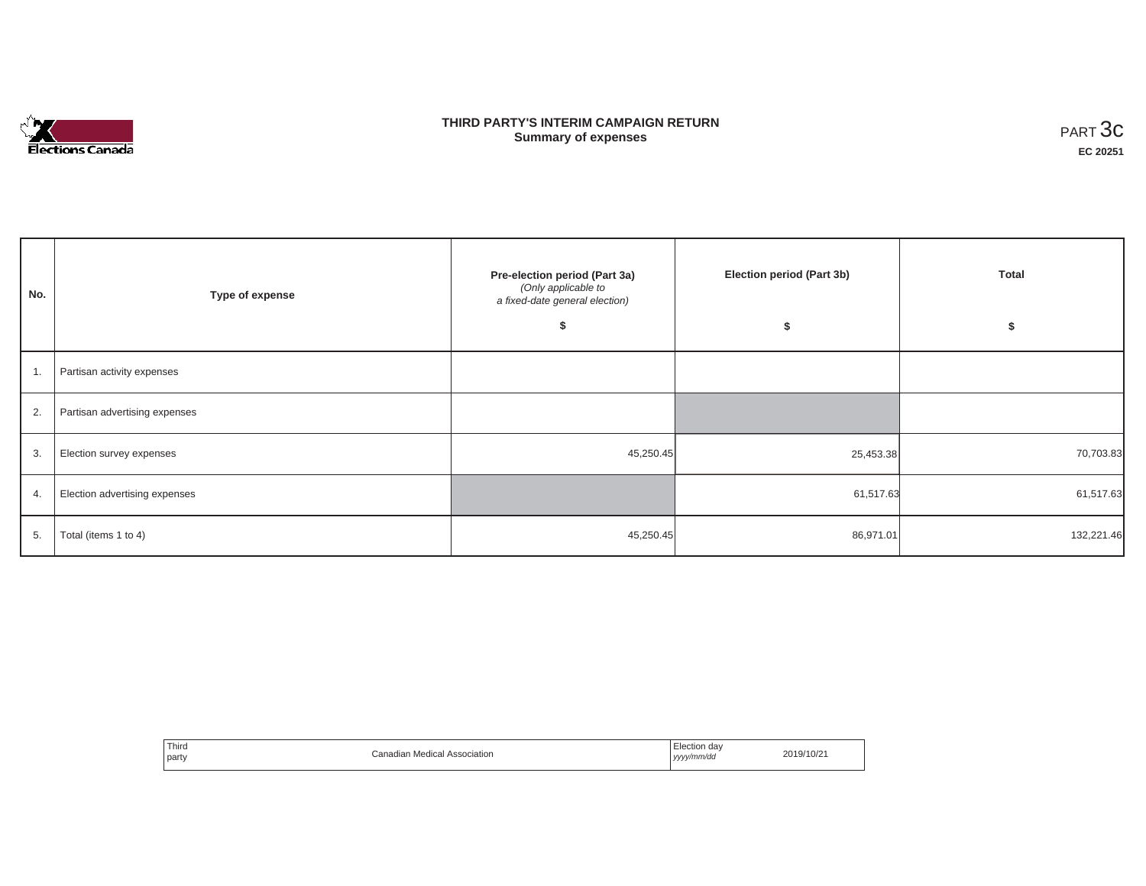

# **THIRD PARTY'S INTERIM CAMPAIGN RETURN Summary of expenses** PART 3c

٦

| No.              | Type of expense               | Pre-election period (Part 3a)<br>(Only applicable to<br>a fixed-date general election) | Election period (Part 3b) | Total<br>э |  |
|------------------|-------------------------------|----------------------------------------------------------------------------------------|---------------------------|------------|--|
| $\overline{1}$ . | Partisan activity expenses    |                                                                                        |                           |            |  |
| 2.               | Partisan advertising expenses |                                                                                        |                           |            |  |
| 3.               | Election survey expenses      | 45,250.45                                                                              | 25,453.38                 | 70,703.83  |  |
| 4.               | Election advertising expenses |                                                                                        | 61,517.63                 | 61,517.63  |  |
| 5.               | Total (items 1 to 4)          | 45,250.45                                                                              | 86,971.01                 | 132,221.46 |  |

| Third<br>$0$ coopintion<br>sociation<br>party | da\<br>ectior<br>.<br>y/mm/da<br>,,,,<br>. | 0/10 |
|-----------------------------------------------|--------------------------------------------|------|
|-----------------------------------------------|--------------------------------------------|------|